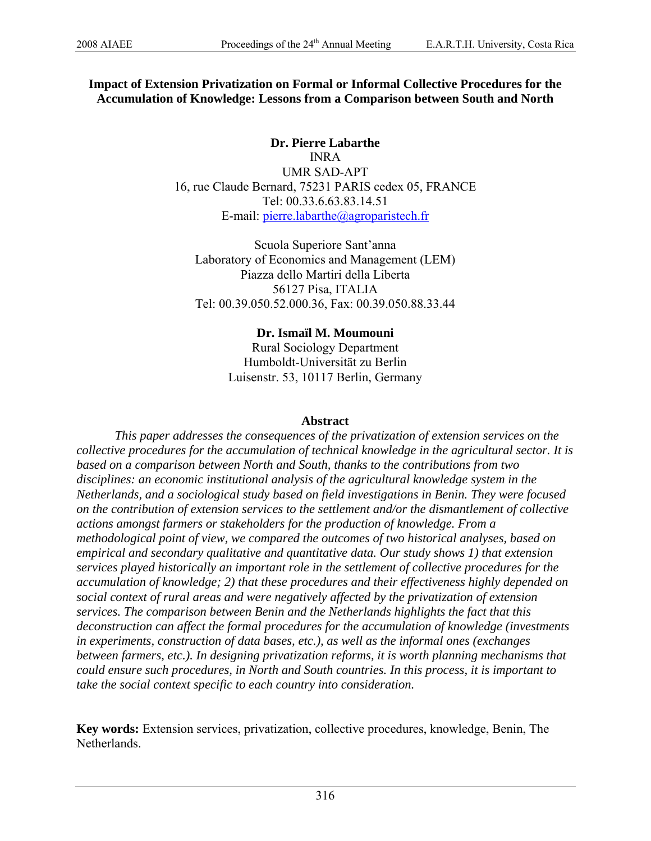# **Impact of Extension Privatization on Formal or Informal Collective Procedures for the Accumulation of Knowledge: Lessons from a Comparison between South and North**

**Dr. Pierre Labarthe**  INRA UMR SAD-APT 16, rue Claude Bernard, 75231 PARIS cedex 05, FRANCE Tel: 00.33.6.63.83.14.51 E-mail: [pierre.labarthe@agroparistech.fr](mailto:pierre.labarthe@agroparistech.fr)

Scuola Superiore Sant'anna Laboratory of Economics and Management (LEM) Piazza dello Martiri della Liberta 56127 Pisa, ITALIA Tel: 00.39.050.52.000.36, Fax: 00.39.050.88.33.44

> **Dr. Ismaïl M. Moumouni**  Rural Sociology Department Humboldt-Universität zu Berlin Luisenstr. 53, 10117 Berlin, Germany

### **Abstract**

*This paper addresses the consequences of the privatization of extension services on the collective procedures for the accumulation of technical knowledge in the agricultural sector. It is based on a comparison between North and South, thanks to the contributions from two disciplines: an economic institutional analysis of the agricultural knowledge system in the Netherlands, and a sociological study based on field investigations in Benin. They were focused on the contribution of extension services to the settlement and/or the dismantlement of collective actions amongst farmers or stakeholders for the production of knowledge. From a methodological point of view, we compared the outcomes of two historical analyses, based on empirical and secondary qualitative and quantitative data. Our study shows 1) that extension services played historically an important role in the settlement of collective procedures for the accumulation of knowledge; 2) that these procedures and their effectiveness highly depended on social context of rural areas and were negatively affected by the privatization of extension services. The comparison between Benin and the Netherlands highlights the fact that this deconstruction can affect the formal procedures for the accumulation of knowledge (investments in experiments, construction of data bases, etc.), as well as the informal ones (exchanges between farmers, etc.). In designing privatization reforms, it is worth planning mechanisms that could ensure such procedures, in North and South countries. In this process, it is important to take the social context specific to each country into consideration.* 

**Key words:** Extension services, privatization, collective procedures, knowledge, Benin, The Netherlands.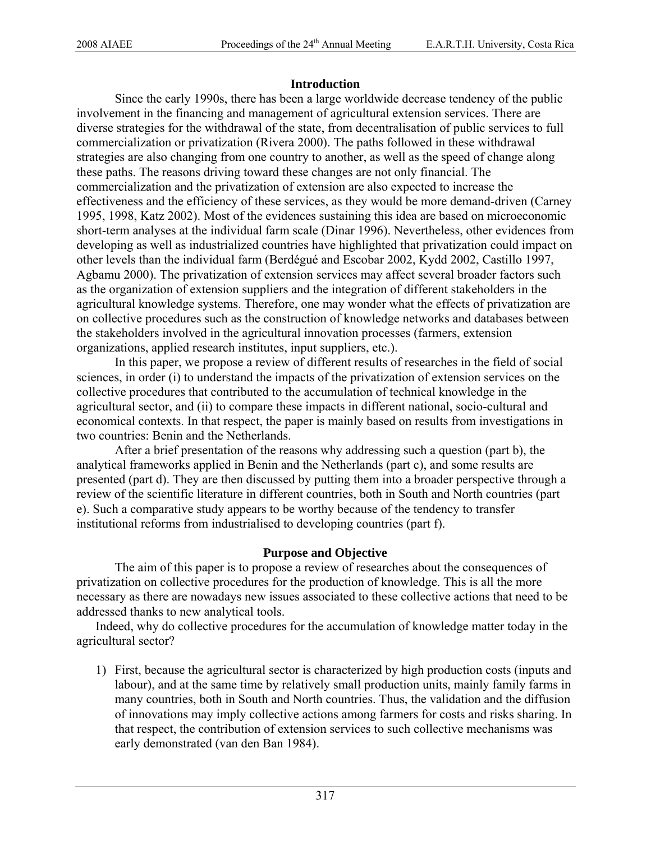### **Introduction**

Since the early 1990s, there has been a large worldwide decrease tendency of the public involvement in the financing and management of agricultural extension services. There are diverse strategies for the withdrawal of the state, from decentralisation of public services to full commercialization or privatization (Rivera 2000). The paths followed in these withdrawal strategies are also changing from one country to another, as well as the speed of change along these paths. The reasons driving toward these changes are not only financial. The commercialization and the privatization of extension are also expected to increase the effectiveness and the efficiency of these services, as they would be more demand-driven (Carney 1995, 1998, Katz 2002). Most of the evidences sustaining this idea are based on microeconomic short-term analyses at the individual farm scale (Dinar 1996). Nevertheless, other evidences from developing as well as industrialized countries have highlighted that privatization could impact on other levels than the individual farm (Berdégué and Escobar 2002, Kydd 2002, Castillo 1997, Agbamu 2000). The privatization of extension services may affect several broader factors such as the organization of extension suppliers and the integration of different stakeholders in the agricultural knowledge systems. Therefore, one may wonder what the effects of privatization are on collective procedures such as the construction of knowledge networks and databases between the stakeholders involved in the agricultural innovation processes (farmers, extension organizations, applied research institutes, input suppliers, etc.).

In this paper, we propose a review of different results of researches in the field of social sciences, in order (i) to understand the impacts of the privatization of extension services on the collective procedures that contributed to the accumulation of technical knowledge in the agricultural sector, and (ii) to compare these impacts in different national, socio-cultural and economical contexts. In that respect, the paper is mainly based on results from investigations in two countries: Benin and the Netherlands.

After a brief presentation of the reasons why addressing such a question (part b), the analytical frameworks applied in Benin and the Netherlands (part c), and some results are presented (part d). They are then discussed by putting them into a broader perspective through a review of the scientific literature in different countries, both in South and North countries (part e). Such a comparative study appears to be worthy because of the tendency to transfer institutional reforms from industrialised to developing countries (part f).

### **Purpose and Objective**

The aim of this paper is to propose a review of researches about the consequences of privatization on collective procedures for the production of knowledge. This is all the more necessary as there are nowadays new issues associated to these collective actions that need to be addressed thanks to new analytical tools.

Indeed, why do collective procedures for the accumulation of knowledge matter today in the agricultural sector?

1) First, because the agricultural sector is characterized by high production costs (inputs and labour), and at the same time by relatively small production units, mainly family farms in many countries, both in South and North countries. Thus, the validation and the diffusion of innovations may imply collective actions among farmers for costs and risks sharing. In that respect, the contribution of extension services to such collective mechanisms was early demonstrated (van den Ban 1984).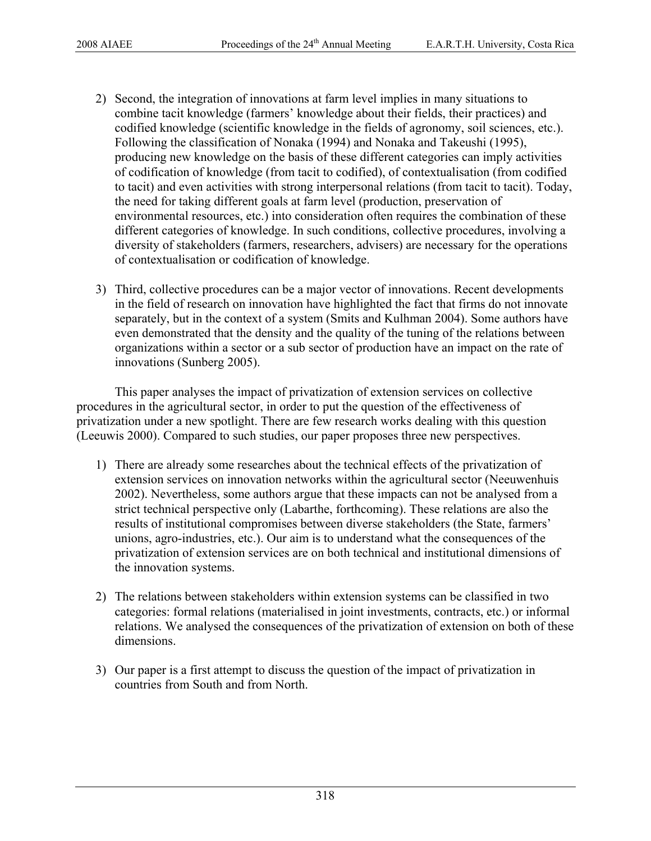- 2) Second, the integration of innovations at farm level implies in many situations to combine tacit knowledge (farmers' knowledge about their fields, their practices) and codified knowledge (scientific knowledge in the fields of agronomy, soil sciences, etc.). Following the classification of Nonaka (1994) and Nonaka and Takeushi (1995), producing new knowledge on the basis of these different categories can imply activities of codification of knowledge (from tacit to codified), of contextualisation (from codified to tacit) and even activities with strong interpersonal relations (from tacit to tacit). Today, the need for taking different goals at farm level (production, preservation of environmental resources, etc.) into consideration often requires the combination of these different categories of knowledge. In such conditions, collective procedures, involving a diversity of stakeholders (farmers, researchers, advisers) are necessary for the operations of contextualisation or codification of knowledge.
- 3) Third, collective procedures can be a major vector of innovations. Recent developments in the field of research on innovation have highlighted the fact that firms do not innovate separately, but in the context of a system (Smits and Kulhman 2004). Some authors have even demonstrated that the density and the quality of the tuning of the relations between organizations within a sector or a sub sector of production have an impact on the rate of innovations (Sunberg 2005).

This paper analyses the impact of privatization of extension services on collective procedures in the agricultural sector, in order to put the question of the effectiveness of privatization under a new spotlight. There are few research works dealing with this question (Leeuwis 2000). Compared to such studies, our paper proposes three new perspectives.

- 1) There are already some researches about the technical effects of the privatization of extension services on innovation networks within the agricultural sector (Neeuwenhuis 2002). Nevertheless, some authors argue that these impacts can not be analysed from a strict technical perspective only (Labarthe, forthcoming). These relations are also the results of institutional compromises between diverse stakeholders (the State, farmers' unions, agro-industries, etc.). Our aim is to understand what the consequences of the privatization of extension services are on both technical and institutional dimensions of the innovation systems.
- 2) The relations between stakeholders within extension systems can be classified in two categories: formal relations (materialised in joint investments, contracts, etc.) or informal relations. We analysed the consequences of the privatization of extension on both of these dimensions.
- 3) Our paper is a first attempt to discuss the question of the impact of privatization in countries from South and from North.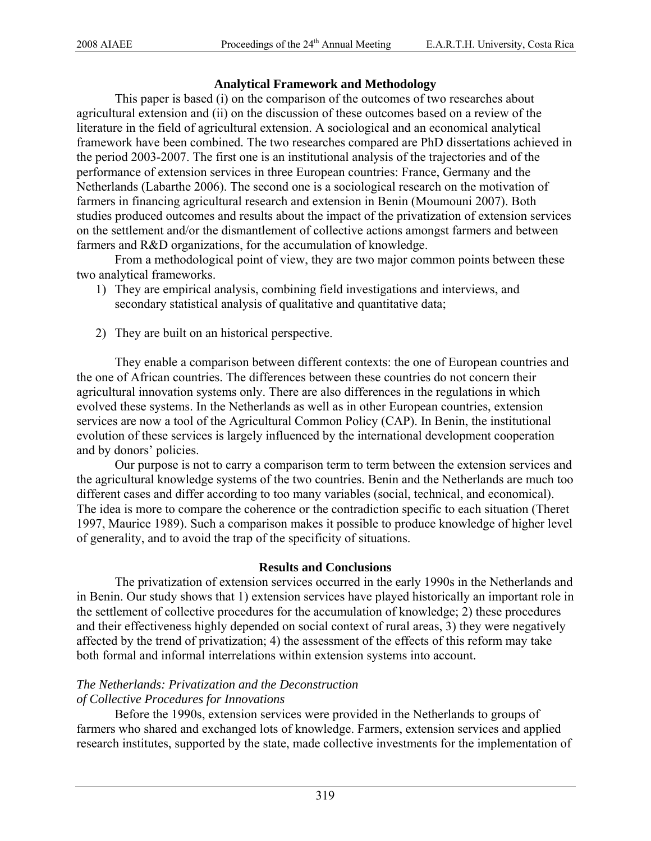# **Analytical Framework and Methodology**

This paper is based (i) on the comparison of the outcomes of two researches about agricultural extension and (ii) on the discussion of these outcomes based on a review of the literature in the field of agricultural extension. A sociological and an economical analytical framework have been combined. The two researches compared are PhD dissertations achieved in the period 2003-2007. The first one is an institutional analysis of the trajectories and of the performance of extension services in three European countries: France, Germany and the Netherlands (Labarthe 2006). The second one is a sociological research on the motivation of farmers in financing agricultural research and extension in Benin (Moumouni 2007). Both studies produced outcomes and results about the impact of the privatization of extension services on the settlement and/or the dismantlement of collective actions amongst farmers and between farmers and R&D organizations, for the accumulation of knowledge.

From a methodological point of view, they are two major common points between these two analytical frameworks.

- 1) They are empirical analysis, combining field investigations and interviews, and secondary statistical analysis of qualitative and quantitative data;
- 2) They are built on an historical perspective.

They enable a comparison between different contexts: the one of European countries and the one of African countries. The differences between these countries do not concern their agricultural innovation systems only. There are also differences in the regulations in which evolved these systems. In the Netherlands as well as in other European countries, extension services are now a tool of the Agricultural Common Policy (CAP). In Benin, the institutional evolution of these services is largely influenced by the international development cooperation and by donors' policies.

Our purpose is not to carry a comparison term to term between the extension services and the agricultural knowledge systems of the two countries. Benin and the Netherlands are much too different cases and differ according to too many variables (social, technical, and economical). The idea is more to compare the coherence or the contradiction specific to each situation (Theret 1997, Maurice 1989). Such a comparison makes it possible to produce knowledge of higher level of generality, and to avoid the trap of the specificity of situations.

### **Results and Conclusions**

The privatization of extension services occurred in the early 1990s in the Netherlands and in Benin. Our study shows that 1) extension services have played historically an important role in the settlement of collective procedures for the accumulation of knowledge; 2) these procedures and their effectiveness highly depended on social context of rural areas, 3) they were negatively affected by the trend of privatization; 4) the assessment of the effects of this reform may take both formal and informal interrelations within extension systems into account.

# *The Netherlands: Privatization and the Deconstruction*

# *of Collective Procedures for Innovations*

Before the 1990s, extension services were provided in the Netherlands to groups of farmers who shared and exchanged lots of knowledge. Farmers, extension services and applied research institutes, supported by the state, made collective investments for the implementation of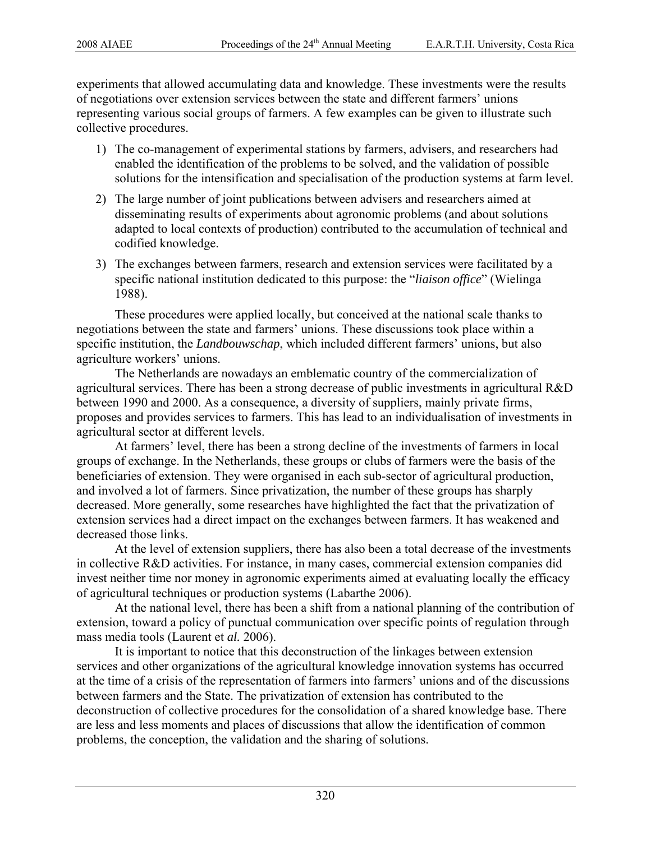experiments that allowed accumulating data and knowledge. These investments were the results of negotiations over extension services between the state and different farmers' unions representing various social groups of farmers. A few examples can be given to illustrate such collective procedures.

- 1) The co-management of experimental stations by farmers, advisers, and researchers had enabled the identification of the problems to be solved, and the validation of possible solutions for the intensification and specialisation of the production systems at farm level.
- 2) The large number of joint publications between advisers and researchers aimed at disseminating results of experiments about agronomic problems (and about solutions adapted to local contexts of production) contributed to the accumulation of technical and codified knowledge.
- 3) The exchanges between farmers, research and extension services were facilitated by a specific national institution dedicated to this purpose: the "*liaison office*" (Wielinga 1988).

These procedures were applied locally, but conceived at the national scale thanks to negotiations between the state and farmers' unions. These discussions took place within a specific institution, the *Landbouwschap*, which included different farmers' unions, but also agriculture workers' unions.

The Netherlands are nowadays an emblematic country of the commercialization of agricultural services. There has been a strong decrease of public investments in agricultural R&D between 1990 and 2000. As a consequence, a diversity of suppliers, mainly private firms, proposes and provides services to farmers. This has lead to an individualisation of investments in agricultural sector at different levels.

At farmers' level, there has been a strong decline of the investments of farmers in local groups of exchange. In the Netherlands, these groups or clubs of farmers were the basis of the beneficiaries of extension. They were organised in each sub-sector of agricultural production, and involved a lot of farmers. Since privatization, the number of these groups has sharply decreased. More generally, some researches have highlighted the fact that the privatization of extension services had a direct impact on the exchanges between farmers. It has weakened and decreased those links.

At the level of extension suppliers, there has also been a total decrease of the investments in collective R&D activities. For instance, in many cases, commercial extension companies did invest neither time nor money in agronomic experiments aimed at evaluating locally the efficacy of agricultural techniques or production systems (Labarthe 2006).

At the national level, there has been a shift from a national planning of the contribution of extension, toward a policy of punctual communication over specific points of regulation through mass media tools (Laurent et *al.* 2006).

It is important to notice that this deconstruction of the linkages between extension services and other organizations of the agricultural knowledge innovation systems has occurred at the time of a crisis of the representation of farmers into farmers' unions and of the discussions between farmers and the State. The privatization of extension has contributed to the deconstruction of collective procedures for the consolidation of a shared knowledge base. There are less and less moments and places of discussions that allow the identification of common problems, the conception, the validation and the sharing of solutions.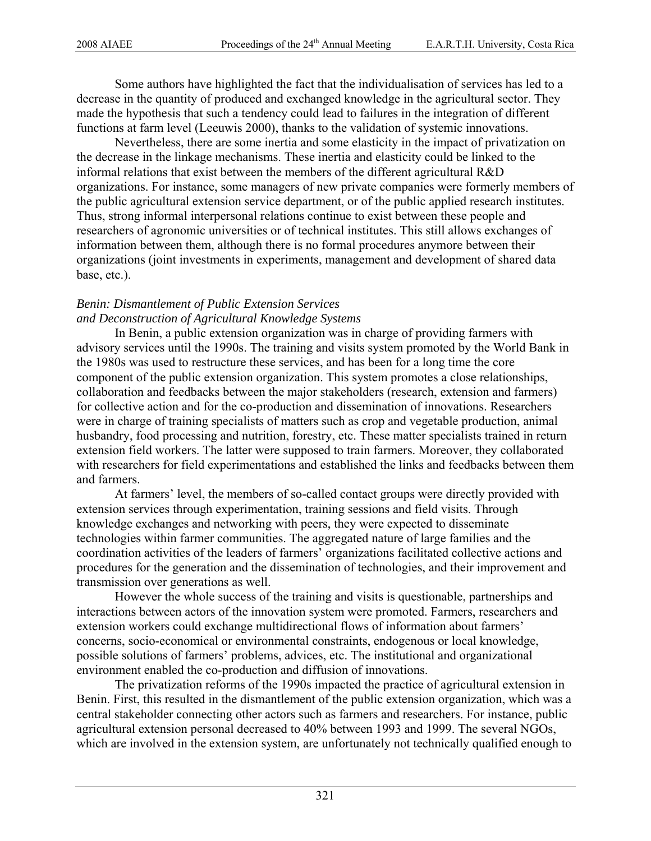Some authors have highlighted the fact that the individualisation of services has led to a decrease in the quantity of produced and exchanged knowledge in the agricultural sector. They made the hypothesis that such a tendency could lead to failures in the integration of different functions at farm level (Leeuwis 2000), thanks to the validation of systemic innovations.

Nevertheless, there are some inertia and some elasticity in the impact of privatization on the decrease in the linkage mechanisms. These inertia and elasticity could be linked to the informal relations that exist between the members of the different agricultural R&D organizations. For instance, some managers of new private companies were formerly members of the public agricultural extension service department, or of the public applied research institutes. Thus, strong informal interpersonal relations continue to exist between these people and researchers of agronomic universities or of technical institutes. This still allows exchanges of information between them, although there is no formal procedures anymore between their organizations (joint investments in experiments, management and development of shared data base, etc.).

### *Benin: Dismantlement of Public Extension Services and Deconstruction of Agricultural Knowledge Systems*

In Benin, a public extension organization was in charge of providing farmers with advisory services until the 1990s. The training and visits system promoted by the World Bank in the 1980s was used to restructure these services, and has been for a long time the core component of the public extension organization. This system promotes a close relationships, collaboration and feedbacks between the major stakeholders (research, extension and farmers) for collective action and for the co-production and dissemination of innovations. Researchers were in charge of training specialists of matters such as crop and vegetable production, animal husbandry, food processing and nutrition, forestry, etc. These matter specialists trained in return extension field workers. The latter were supposed to train farmers. Moreover, they collaborated with researchers for field experimentations and established the links and feedbacks between them and farmers.

At farmers' level, the members of so-called contact groups were directly provided with extension services through experimentation, training sessions and field visits. Through knowledge exchanges and networking with peers, they were expected to disseminate technologies within farmer communities. The aggregated nature of large families and the coordination activities of the leaders of farmers' organizations facilitated collective actions and procedures for the generation and the dissemination of technologies, and their improvement and transmission over generations as well.

However the whole success of the training and visits is questionable, partnerships and interactions between actors of the innovation system were promoted. Farmers, researchers and extension workers could exchange multidirectional flows of information about farmers' concerns, socio-economical or environmental constraints, endogenous or local knowledge, possible solutions of farmers' problems, advices, etc. The institutional and organizational environment enabled the co-production and diffusion of innovations.

The privatization reforms of the 1990s impacted the practice of agricultural extension in Benin. First, this resulted in the dismantlement of the public extension organization, which was a central stakeholder connecting other actors such as farmers and researchers. For instance, public agricultural extension personal decreased to 40% between 1993 and 1999. The several NGOs, which are involved in the extension system, are unfortunately not technically qualified enough to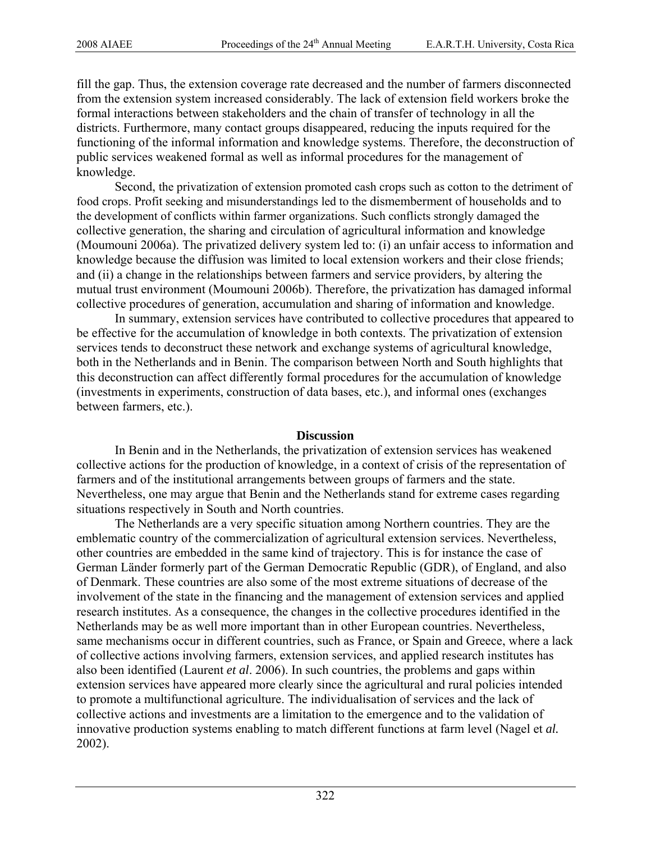fill the gap. Thus, the extension coverage rate decreased and the number of farmers disconnected from the extension system increased considerably. The lack of extension field workers broke the formal interactions between stakeholders and the chain of transfer of technology in all the districts. Furthermore, many contact groups disappeared, reducing the inputs required for the functioning of the informal information and knowledge systems. Therefore, the deconstruction of public services weakened formal as well as informal procedures for the management of knowledge.

Second, the privatization of extension promoted cash crops such as cotton to the detriment of food crops. Profit seeking and misunderstandings led to the dismemberment of households and to the development of conflicts within farmer organizations. Such conflicts strongly damaged the collective generation, the sharing and circulation of agricultural information and knowledge (Moumouni 2006a). The privatized delivery system led to: (i) an unfair access to information and knowledge because the diffusion was limited to local extension workers and their close friends; and (ii) a change in the relationships between farmers and service providers, by altering the mutual trust environment (Moumouni 2006b). Therefore, the privatization has damaged informal collective procedures of generation, accumulation and sharing of information and knowledge.

In summary, extension services have contributed to collective procedures that appeared to be effective for the accumulation of knowledge in both contexts. The privatization of extension services tends to deconstruct these network and exchange systems of agricultural knowledge, both in the Netherlands and in Benin. The comparison between North and South highlights that this deconstruction can affect differently formal procedures for the accumulation of knowledge (investments in experiments, construction of data bases, etc.), and informal ones (exchanges between farmers, etc.).

#### **Discussion**

In Benin and in the Netherlands, the privatization of extension services has weakened collective actions for the production of knowledge, in a context of crisis of the representation of farmers and of the institutional arrangements between groups of farmers and the state. Nevertheless, one may argue that Benin and the Netherlands stand for extreme cases regarding situations respectively in South and North countries.

The Netherlands are a very specific situation among Northern countries. They are the emblematic country of the commercialization of agricultural extension services. Nevertheless, other countries are embedded in the same kind of trajectory. This is for instance the case of German Länder formerly part of the German Democratic Republic (GDR), of England, and also of Denmark. These countries are also some of the most extreme situations of decrease of the involvement of the state in the financing and the management of extension services and applied research institutes. As a consequence, the changes in the collective procedures identified in the Netherlands may be as well more important than in other European countries. Nevertheless, same mechanisms occur in different countries, such as France, or Spain and Greece, where a lack of collective actions involving farmers, extension services, and applied research institutes has also been identified (Laurent *et al*. 2006). In such countries, the problems and gaps within extension services have appeared more clearly since the agricultural and rural policies intended to promote a multifunctional agriculture. The individualisation of services and the lack of collective actions and investments are a limitation to the emergence and to the validation of innovative production systems enabling to match different functions at farm level (Nagel et *al.* 2002).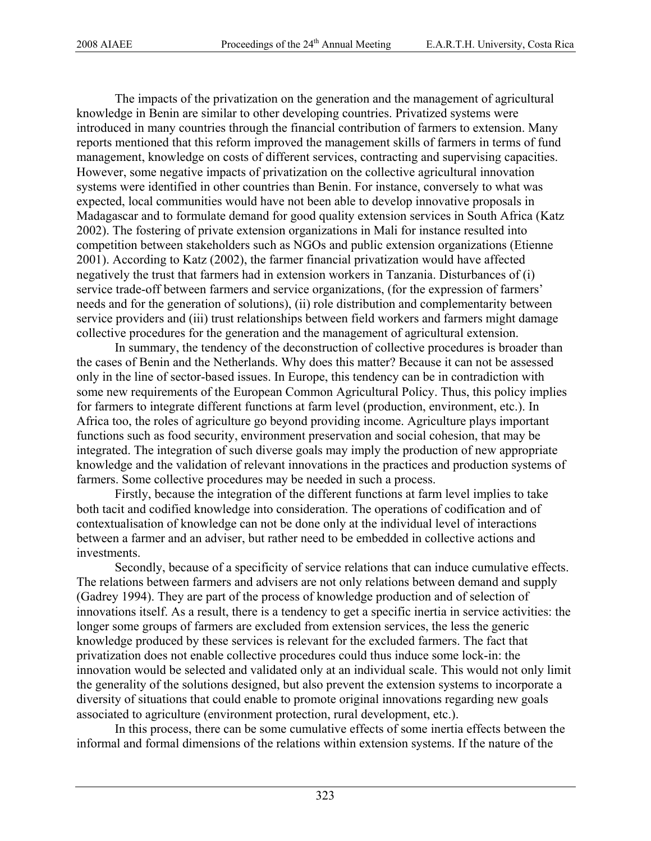The impacts of the privatization on the generation and the management of agricultural knowledge in Benin are similar to other developing countries. Privatized systems were introduced in many countries through the financial contribution of farmers to extension. Many reports mentioned that this reform improved the management skills of farmers in terms of fund management, knowledge on costs of different services, contracting and supervising capacities. However, some negative impacts of privatization on the collective agricultural innovation systems were identified in other countries than Benin. For instance, conversely to what was expected, local communities would have not been able to develop innovative proposals in Madagascar and to formulate demand for good quality extension services in South Africa (Katz 2002). The fostering of private extension organizations in Mali for instance resulted into competition between stakeholders such as NGOs and public extension organizations (Etienne 2001). According to Katz (2002), the farmer financial privatization would have affected negatively the trust that farmers had in extension workers in Tanzania. Disturbances of (i) service trade-off between farmers and service organizations, (for the expression of farmers' needs and for the generation of solutions), (ii) role distribution and complementarity between service providers and (iii) trust relationships between field workers and farmers might damage collective procedures for the generation and the management of agricultural extension.

In summary, the tendency of the deconstruction of collective procedures is broader than the cases of Benin and the Netherlands. Why does this matter? Because it can not be assessed only in the line of sector-based issues. In Europe, this tendency can be in contradiction with some new requirements of the European Common Agricultural Policy. Thus, this policy implies for farmers to integrate different functions at farm level (production, environment, etc.). In Africa too, the roles of agriculture go beyond providing income. Agriculture plays important functions such as food security, environment preservation and social cohesion, that may be integrated. The integration of such diverse goals may imply the production of new appropriate knowledge and the validation of relevant innovations in the practices and production systems of farmers. Some collective procedures may be needed in such a process.

Firstly, because the integration of the different functions at farm level implies to take both tacit and codified knowledge into consideration. The operations of codification and of contextualisation of knowledge can not be done only at the individual level of interactions between a farmer and an adviser, but rather need to be embedded in collective actions and investments.

Secondly, because of a specificity of service relations that can induce cumulative effects. The relations between farmers and advisers are not only relations between demand and supply (Gadrey 1994). They are part of the process of knowledge production and of selection of innovations itself. As a result, there is a tendency to get a specific inertia in service activities: the longer some groups of farmers are excluded from extension services, the less the generic knowledge produced by these services is relevant for the excluded farmers. The fact that privatization does not enable collective procedures could thus induce some lock-in: the innovation would be selected and validated only at an individual scale. This would not only limit the generality of the solutions designed, but also prevent the extension systems to incorporate a diversity of situations that could enable to promote original innovations regarding new goals associated to agriculture (environment protection, rural development, etc.).

In this process, there can be some cumulative effects of some inertia effects between the informal and formal dimensions of the relations within extension systems. If the nature of the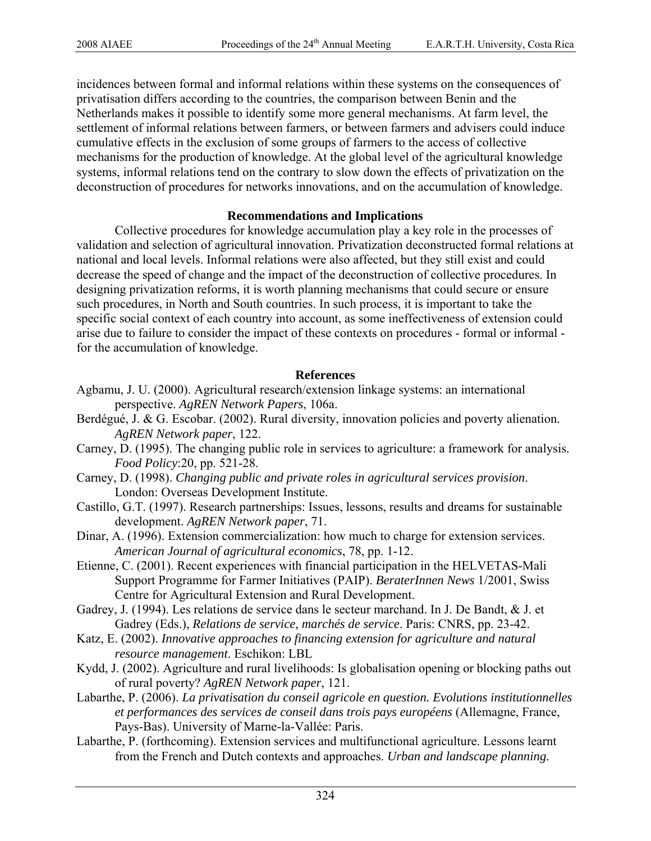incidences between formal and informal relations within these systems on the consequences of privatisation differs according to the countries, the comparison between Benin and the Netherlands makes it possible to identify some more general mechanisms. At farm level, the settlement of informal relations between farmers, or between farmers and advisers could induce cumulative effects in the exclusion of some groups of farmers to the access of collective mechanisms for the production of knowledge. At the global level of the agricultural knowledge systems, informal relations tend on the contrary to slow down the effects of privatization on the deconstruction of procedures for networks innovations, and on the accumulation of knowledge.

# **Recommendations and Implications**

Collective procedures for knowledge accumulation play a key role in the processes of validation and selection of agricultural innovation. Privatization deconstructed formal relations at national and local levels. Informal relations were also affected, but they still exist and could decrease the speed of change and the impact of the deconstruction of collective procedures. In designing privatization reforms, it is worth planning mechanisms that could secure or ensure such procedures, in North and South countries. In such process, it is important to take the specific social context of each country into account, as some ineffectiveness of extension could arise due to failure to consider the impact of these contexts on procedures - formal or informal for the accumulation of knowledge.

# **References**

- Agbamu, J. U. (2000). Agricultural research/extension linkage systems: an international perspective. *AgREN Network Papers*, 106a.
- Berdégué, J. & G. Escobar. (2002). Rural diversity, innovation policies and poverty alienation. *AgREN Network paper*, 122.
- Carney, D. (1995). The changing public role in services to agriculture: a framework for analysis. *Food Policy*:20, pp. 521-28.
- Carney, D. (1998). *Changing public and private roles in agricultural services provision*. London: Overseas Development Institute.
- Castillo, G.T. (1997). Research partnerships: Issues, lessons, results and dreams for sustainable development. *AgREN Network paper*, 71.
- Dinar, A. (1996). Extension commercialization: how much to charge for extension services. *American Journal of agricultural economics*, 78, pp. 1-12.
- Etienne, C. (2001). Recent experiences with financial participation in the HELVETAS-Mali Support Programme for Farmer Initiatives (PAIP). *BeraterInnen News* 1/2001, Swiss Centre for Agricultural Extension and Rural Development.
- Gadrey, J. (1994). Les relations de service dans le secteur marchand. In J. De Bandt, & J. et Gadrey (Eds.), *Relations de service, marchés de service*. Paris: CNRS, pp. 23-42.
- Katz, E. (2002). *Innovative approaches to financing extension for agriculture and natural resource management*. Eschikon: LBL
- Kydd, J. (2002). Agriculture and rural livelihoods: Is globalisation opening or blocking paths out of rural poverty? *AgREN Network paper*, 121.
- Labarthe, P. (2006). *La privatisation du conseil agricole en question. Evolutions institutionnelles et performances des services de conseil dans trois pays européens* (Allemagne, France, Pays-Bas). University of Marne-la-Vallée: Paris.
- Labarthe, P. (forthcoming). Extension services and multifunctional agriculture. Lessons learnt from the French and Dutch contexts and approaches. *Urban and landscape planning.*